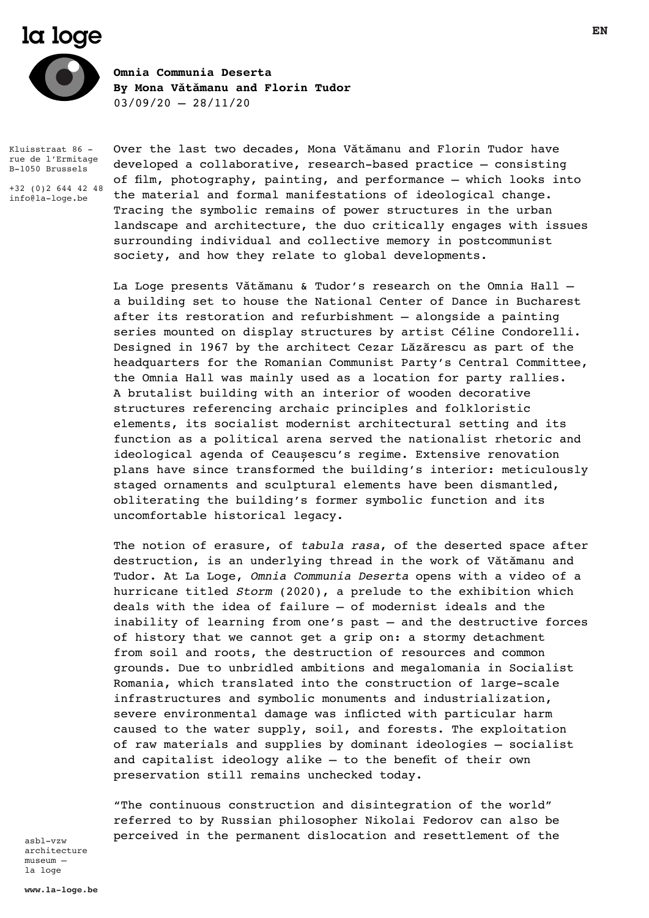# **Ia loge**



**Omnia Communia Deserta By Mona Vǎtǎmanu and Florin Tudor**  $03/09/20 - 28/11/20$ 

Kluisstraat 86 rue de l'Ermitage B-1050 Brussels

+32 (0)2 644 42 48 info@la-loge.be

Over the last two decades, Mona Vǎtǎmanu and Florin Tudor have developed a collaborative, research-based practice – consisting of film, photography, painting, and performance – which looks into the material and formal manifestations of ideological change. Tracing the symbolic remains of power structures in the urban landscape and architecture, the duo critically engages with issues surrounding individual and collective memory in postcommunist society, and how they relate to global developments.

La Loge presents Vǎtǎmanu & Tudor's research on the Omnia Hall – a building set to house the National Center of Dance in Bucharest after its restoration and refurbishment – alongside a painting series mounted on display structures by artist Céline Condorelli. Designed in 1967 by the architect Cezar Lăzărescu as part of the headquarters for the Romanian Communist Party's Central Committee, the Omnia Hall was mainly used as a location for party rallies. A brutalist building with an interior of wooden decorative structures referencing archaic principles and folkloristic elements, its socialist modernist architectural setting and its function as a political arena served the nationalist rhetoric and ideological agenda of Ceaușescu's regime. Extensive renovation plans have since transformed the building's interior: meticulously staged ornaments and sculptural elements have been dismantled, obliterating the building's former symbolic function and its uncomfortable historical legacy.

The notion of erasure, of *tabula rasa*, of the deserted space after destruction, is an underlying thread in the work of Vǎtǎmanu and Tudor. At La Loge, *Omnia Communia Deserta* opens with a video of a hurricane titled *Storm* (2020), a prelude to the exhibition which deals with the idea of failure – of modernist ideals and the inability of learning from one's past – and the destructive forces of history that we cannot get a grip on: a stormy detachment from soil and roots, the destruction of resources and common grounds. Due to unbridled ambitions and megalomania in Socialist Romania, which translated into the construction of large-scale infrastructures and symbolic monuments and industrialization, severe environmental damage was inflicted with particular harm caused to the water supply, soil, and forests. The exploitation of raw materials and supplies by dominant ideologies – socialist and capitalist ideology alike – to the benefit of their own preservation still remains unchecked today.

"The continuous construction and disintegration of the world" referred to by Russian philosopher Nikolai Fedorov can also be perceived in the permanent dislocation and resettlement of the

asbl-vzw architecture museum – la loge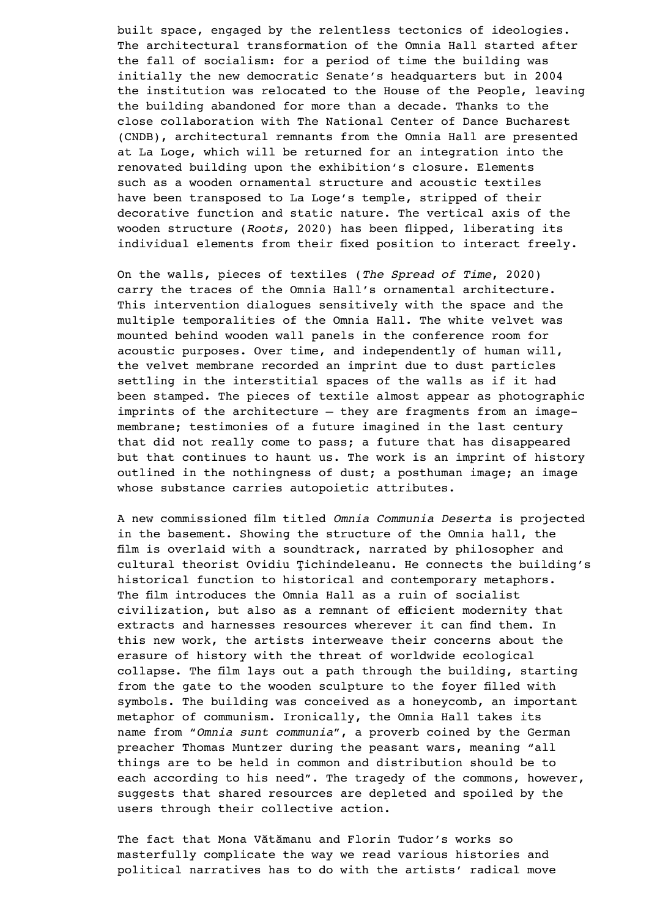built space, engaged by the relentless tectonics of ideologies. The architectural transformation of the Omnia Hall started after the fall of socialism: for a period of time the building was initially the new democratic Senate's headquarters but in 2004 the institution was relocated to the House of the People, leaving the building abandoned for more than a decade. Thanks to the close collaboration with The National Center of Dance Bucharest (CNDB), architectural remnants from the Omnia Hall are presented at La Loge, which will be returned for an integration into the renovated building upon the exhibition's closure. Elements such as a wooden ornamental structure and acoustic textiles have been transposed to La Loge's temple, stripped of their decorative function and static nature. The vertical axis of the wooden structure (*Roots*, 2020) has been flipped, liberating its individual elements from their fixed position to interact freely.

On the walls, pieces of textiles (*The Spread of Time*, 2020) carry the traces of the Omnia Hall's ornamental architecture. This intervention dialogues sensitively with the space and the multiple temporalities of the Omnia Hall. The white velvet was mounted behind wooden wall panels in the conference room for acoustic purposes. Over time, and independently of human will, the velvet membrane recorded an imprint due to dust particles settling in the interstitial spaces of the walls as if it had been stamped. The pieces of textile almost appear as photographic imprints of the architecture – they are fragments from an imagemembrane; testimonies of a future imagined in the last century that did not really come to pass; a future that has disappeared but that continues to haunt us. The work is an imprint of history outlined in the nothingness of dust; a posthuman image; an image whose substance carries autopoietic attributes.

A new commissioned film titled *Omnia Communia Deserta* is projected in the basement. Showing the structure of the Omnia hall, the film is overlaid with a soundtrack, narrated by philosopher and cultural theorist Ovidiu Ţichindeleanu. He connects the building's historical function to historical and contemporary metaphors. The film introduces the Omnia Hall as a ruin of socialist civilization, but also as a remnant of efficient modernity that extracts and harnesses resources wherever it can find them. In this new work, the artists interweave their concerns about the erasure of history with the threat of worldwide ecological collapse. The film lays out a path through the building, starting from the gate to the wooden sculpture to the foyer filled with symbols. The building was conceived as a honeycomb, an important metaphor of communism. Ironically, the Omnia Hall takes its name from "*Omnia sunt communia*", a proverb coined by the German preacher Thomas Muntzer during the peasant wars, meaning "all things are to be held in common and distribution should be to each according to his need". The tragedy of the commons, however, suggests that shared resources are depleted and spoiled by the users through their collective action.

The fact that Mona Vătămanu and Florin Tudor's works so masterfully complicate the way we read various histories and political narratives has to do with the artists' radical move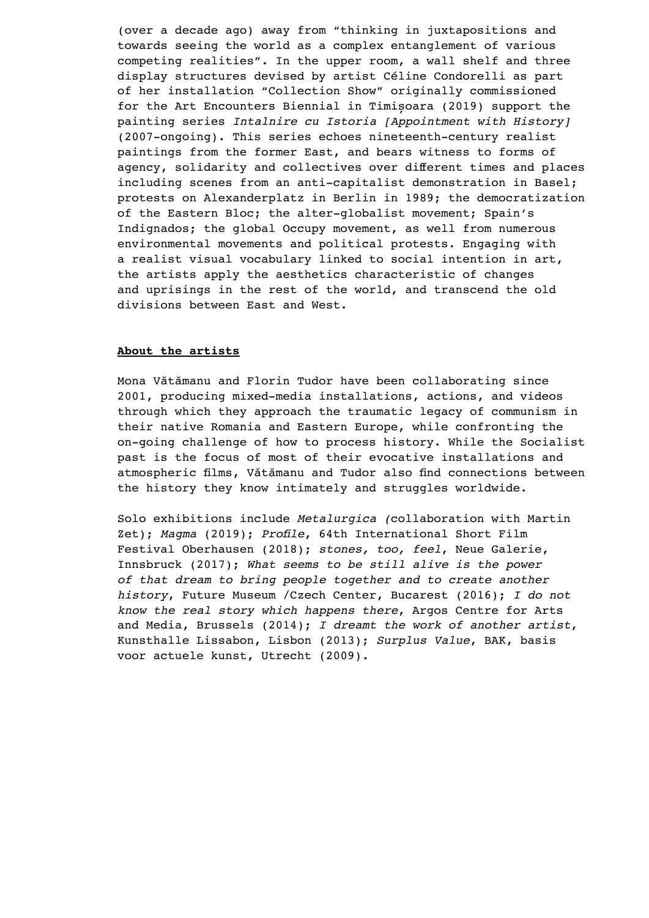(over a decade ago) away from "thinking in juxtapositions and towards seeing the world as a complex entanglement of various competing realities". In the upper room, a wall shelf and three display structures devised by artist Céline Condorelli as part of her installation "Collection Show" originally commissioned for the Art Encounters Biennial in Timișoara (2019) support the painting series *Intalnire cu Istoria [Appointment with History]* (2007-ongoing). This series echoes nineteenth-century realist paintings from the former East, and bears witness to forms of agency, solidarity and collectives over different times and places including scenes from an anti-capitalist demonstration in Basel; protests on Alexanderplatz in Berlin in 1989; the democratization of the Eastern Bloc; the alter-globalist movement; Spain's Indignados; the global Occupy movement, as well from numerous environmental movements and political protests. Engaging with a realist visual vocabulary linked to social intention in art, the artists apply the aesthetics characteristic of changes and uprisings in the rest of the world, and transcend the old divisions between East and West.

# **About the artists**

Mona Vǎtǎmanu and Florin Tudor have been collaborating since 2001, producing mixed-media installations, actions, and videos through which they approach the traumatic legacy of communism in their native Romania and Eastern Europe, while confronting the on-going challenge of how to process history. While the Socialist past is the focus of most of their evocative installations and atmospheric films, Vǎtǎmanu and Tudor also find connections between the history they know intimately and struggles worldwide.

Solo exhibitions include *Metalurgica (*collaboration with Martin Zet); *Magma* (2019); *Profile*, 64th International Short Film Festival Oberhausen (2018); *stones, too, feel*, Neue Galerie, Innsbruck (2017); *What seems to be still alive is the power of that dream to bring people together and to create another history*, Future Museum /Czech Center, Bucarest (2016); *I do not know the real story which happens there*, Argos Centre for Arts and Media, Brussels (2014); *I dreamt the work of another artist*, Kunsthalle Lissabon, Lisbon (2013); *Surplus Value*, BAK, basis voor actuele kunst, Utrecht (2009).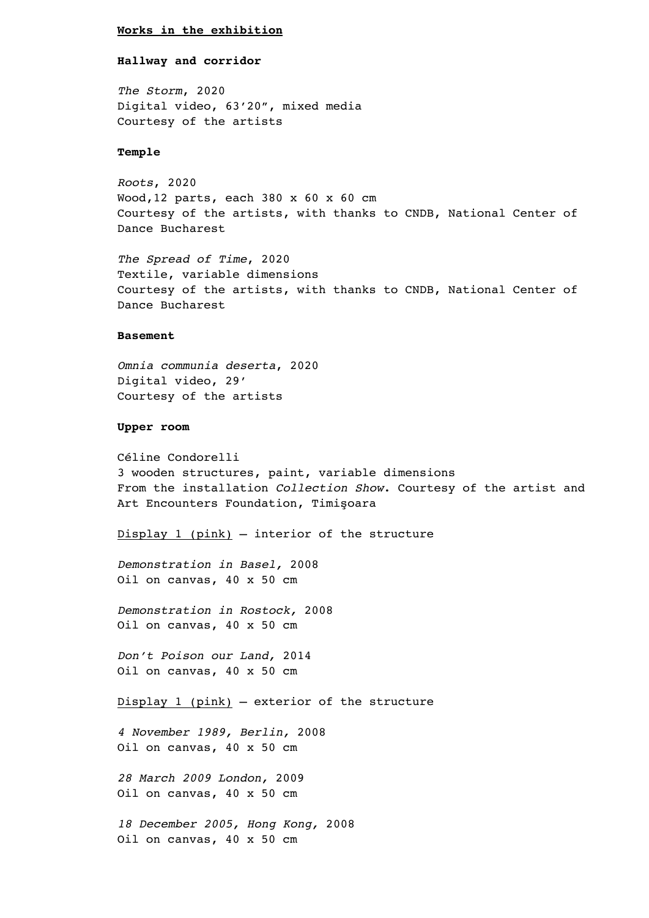## **Works in the exhibition**

### **Hallway and corridor**

*The Storm*, 2020 Digital video, 63'20", mixed media Courtesy of the artists

## **Temple**

*Roots*, 2020 Wood,12 parts, each 380 x 60 x 60 cm Courtesy of the artists, with thanks to CNDB, National Center of Dance Bucharest

*The Spread of Time*, 2020 Textile, variable dimensions Courtesy of the artists, with thanks to CNDB, National Center of Dance Bucharest

#### **Basement**

*Omnia communia deserta*, 2020 Digital video, 29' Courtesy of the artists

### **Upper room**

Céline Condorelli 3 wooden structures, paint, variable dimensions From the installation *Collection Show*. Courtesy of the artist and Art Encounters Foundation, Timişoara

Display 1 (pink) – interior of the structure

*Demonstration in Basel,* 2008 Oil on canvas, 40 x 50 cm

*Demonstration in Rostock,* 2008 Oil on canvas, 40 x 50 cm

*Don't Poison our Land,* 2014 Oil on canvas, 40 x 50 cm

Display 1 (pink) – exterior of the structure

*4 November 1989, Berlin,* 2008 Oil on canvas, 40 x 50 cm

*28 March 2009 London,* 2009 Oil on canvas, 40 x 50 cm

*18 December 2005, Hong Kong,* 2008 Oil on canvas, 40 x 50 cm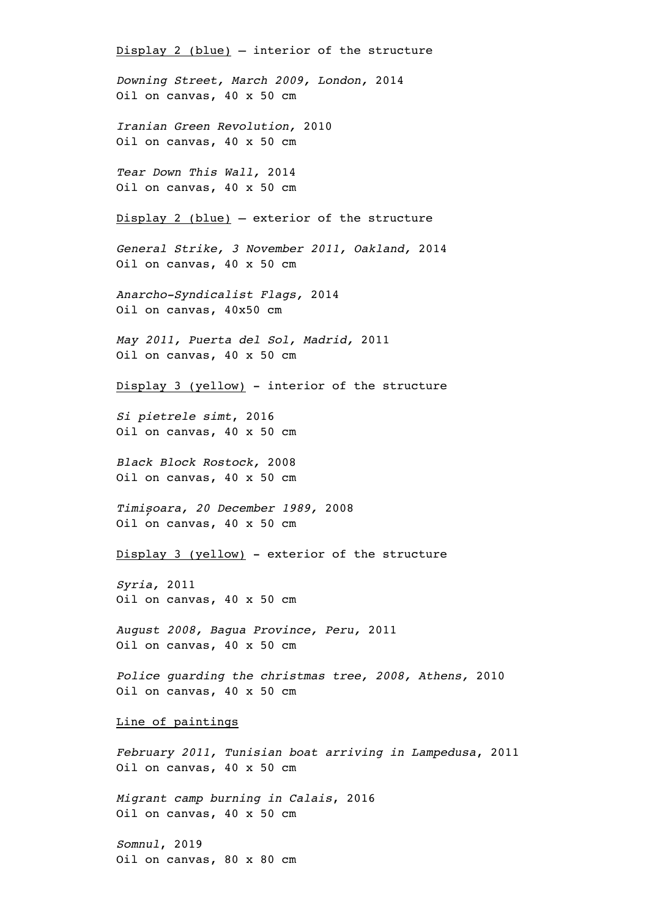Display 2 (blue) – interior of the structure *Downing Street, March 2009, London,* 2014 Oil on canvas, 40 x 50 cm *Iranian Green Revolution,* 2010 Oil on canvas, 40 x 50 cm *Tear Down This Wall,* 2014 Oil on canvas, 40 x 50 cm Display 2 (blue) – exterior of the structure *General Strike, 3 November 2011, Oakland,* 2014 Oil on canvas, 40 x 50 cm *Anarcho-Syndicalist Flags,* 2014 Oil on canvas, 40x50 cm *May 2011, Puerta del Sol, Madrid,* 2011 Oil on canvas, 40 x 50 cm Display 3 (yellow) - interior of the structure *Si pietrele simt*, 2016 Oil on canvas, 40 x 50 cm *Black Block Rostock,* 2008 Oil on canvas, 40 x 50 cm *Timișoara, 20 December 1989,* 2008 Oil on canvas, 40 x 50 cm Display 3 (yellow) - exterior of the structure *Syria,* 2011 Oil on canvas, 40 x 50 cm *August 2008, Bagua Province, Peru,* 2011 Oil on canvas, 40 x 50 cm *Police guarding the christmas tree, 2008, Athens,* 2010 Oil on canvas, 40 x 50 cm Line of paintings *February 2011, Tunisian boat arriving in Lampedusa*, 2011 Oil on canvas, 40 x 50 cm *Migrant camp burning in Calais*, 2016 Oil on canvas, 40 x 50 cm

*Somnul*, 2019 Oil on canvas, 80 x 80 cm